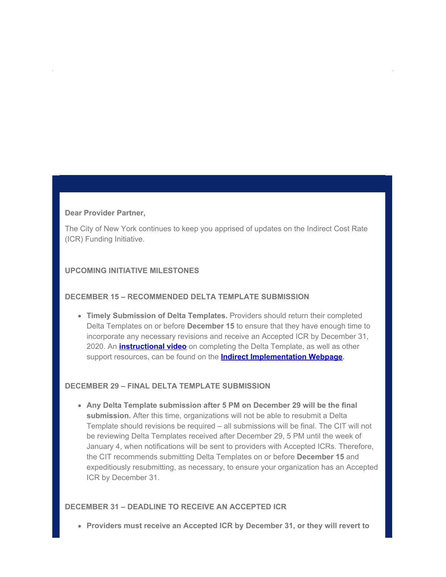#### **Dear Provider Partner,**

The City of New York continues to keep you apprised of updates on the Indirect Cost Rate (ICR) Funding Initiative.

# **UPCOMING INITIATIVE MILESTONES**

## **DECEMBER 15 – RECOMMENDED DELTA TEMPLATE SUBMISSION**

**Timely Submission of Delta Templates.** Providers should return their completed Delta Templates on or before **December 15** to ensure that they have enough time to incorporate any necessary revisions and receive an Accepted ICR by December 31, 2020. An **[instructional video](https://gcc02.safelinks.protection.outlook.com/?url=https%3A%2F%2Flnks.gd%2Fl%2FeyJhbGciOiJIUzI1NiJ9.eyJidWxsZXRpbl9saW5rX2lkIjoxMDAsInVyaSI6ImJwMjpjbGljayIsImJ1bGxldGluX2lkIjoiMjAyMDEyMDguMzE3NjUxMjEiLCJ1cmwiOiJodHRwczovL3d3dzEubnljLmdvdi9hc3NldHMvbm9ucHJvZml0cy9kb3dubG9hZHMvVmlkZW9zL0RlbHRhJTIwVGVtcGxhdGUlMjBJbnN0cnVjdGlvbmFsJTIwVmlkZW8ubXA0P3V0bV9tZWRpdW09ZW1haWwmdXRtX3NvdXJjZT1nb3ZkZWxpdmVyeSJ9.IUjfNc3giIeKhn5jncOoqhXuNyu-Otbb_wXkKTYqJ0E%2Fs%2F955068899%2Fbr%2F91321736932-l&data=04%7C01%7Coluwa.small%40mocs.nyc.gov%7C8d32191a0fb648d757c108d89bc0358a%7C32f56fc75f814e22a95b15da66513bef%7C0%7C0%7C637430598144354884%7CUnknown%7CTWFpbGZsb3d8eyJWIjoiMC4wLjAwMDAiLCJQIjoiV2luMzIiLCJBTiI6Ik1haWwiLCJXVCI6Mn0%3D%7C1000&sdata=bmdjvj8aRJe5R3B0DxZHpVntrmCLxayL9D1SAXT6%2B%2Fo%3D&reserved=0)** on completing the Delta Template, as well as other support resources, can be found on the **[Indirect Implementation Webpage.](https://gcc02.safelinks.protection.outlook.com/?url=https%3A%2F%2Flnks.gd%2Fl%2FeyJhbGciOiJIUzI1NiJ9.eyJidWxsZXRpbl9saW5rX2lkIjoxMDEsInVyaSI6ImJwMjpjbGljayIsImJ1bGxldGluX2lkIjoiMjAyMDEyMDguMzE3NjUxMjEiLCJ1cmwiOiJodHRwczovL3d3dzEubnljLmdvdi9zaXRlL25vbnByb2ZpdHMvZnVuZGVkLXByb3ZpZGVycy9pbmRpcmVjdC1pbXBsZW1lbnRhdGlvbi5wYWdlP3V0bV9tZWRpdW09ZW1haWwmdXRtX3NvdXJjZT1nb3ZkZWxpdmVyeSJ9.AGME8-9I8XgfKXwgPReWNRNjAISCj-Ok4pGZnwccgDc%2Fs%2F955068899%2Fbr%2F91321736932-l&data=04%7C01%7Coluwa.small%40mocs.nyc.gov%7C8d32191a0fb648d757c108d89bc0358a%7C32f56fc75f814e22a95b15da66513bef%7C0%7C0%7C637430598144364850%7CUnknown%7CTWFpbGZsb3d8eyJWIjoiMC4wLjAwMDAiLCJQIjoiV2luMzIiLCJBTiI6Ik1haWwiLCJXVCI6Mn0%3D%7C1000&sdata=Pos6hUX82guDQxXXzsBrkPJ966XTRsxbWD0T0Bx0fVg%3D&reserved=0)**

### **DECEMBER 29 – FINAL DELTA TEMPLATE SUBMISSION**

**Any Delta Template submission after 5 PM on December 29 will be the final submission.** After this time, organizations will not be able to resubmit a Delta Template should revisions be required – all submissions will be final. The CIT will not be reviewing Delta Templates received after December 29, 5 PM until the week of January 4, when notifications will be sent to providers with Accepted ICRs. Therefore, the CIT recommends submitting Delta Templates on or before **December 15** and expeditiously resubmitting, as necessary, to ensure your organization has an Accepted ICR by December 31.

## **DECEMBER 31 – DEADLINE TO RECEIVE AN ACCEPTED ICR**

**Providers must receive an Accepted ICR by December 31, or they will revert to**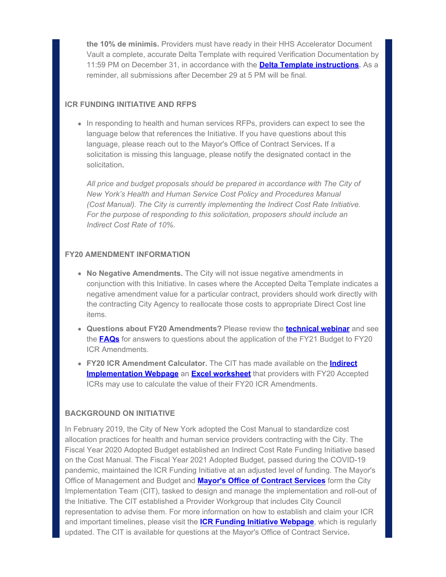**the 10% de minimis.** Providers must have ready in their HHS Accelerator Document Vault a complete, accurate Delta Template with required Verification Documentation by 11:59 PM on December 31, in accordance with the **[Delta Template instructions](https://gcc02.safelinks.protection.outlook.com/?url=https%3A%2F%2Flnks.gd%2Fl%2FeyJhbGciOiJIUzI1NiJ9.eyJidWxsZXRpbl9saW5rX2lkIjoxMDIsInVyaSI6ImJwMjpjbGljayIsImJ1bGxldGluX2lkIjoiMjAyMDEyMDguMzE3NjUxMjEiLCJ1cmwiOiJodHRwczovL3d3dzEubnljLmdvdi9hc3NldHMvbm9ucHJvZml0cy9kb3dubG9hZHMvcGRmL0lDUiUyMERlbHRhJTIwVGVtcGxhdGUlMjBHdWlkZSUyMDIwMjAuMTEucGRmP3V0bV9tZWRpdW09ZW1haWwmdXRtX3NvdXJjZT1nb3ZkZWxpdmVyeSJ9.-7ssBeKD6RMxhPDqBaSGI8O_xbI3nAoUXMVEgOdtlhM%2Fs%2F955068899%2Fbr%2F91321736932-l&data=04%7C01%7Coluwa.small%40mocs.nyc.gov%7C8d32191a0fb648d757c108d89bc0358a%7C32f56fc75f814e22a95b15da66513bef%7C0%7C0%7C637430598144364850%7CUnknown%7CTWFpbGZsb3d8eyJWIjoiMC4wLjAwMDAiLCJQIjoiV2luMzIiLCJBTiI6Ik1haWwiLCJXVCI6Mn0%3D%7C1000&sdata=I8OTQVl%2FU3r6T5RXXz3cQSvDpvxW%2FvlQT6UnGgOhtw0%3D&reserved=0).** As a reminder, all submissions after December 29 at 5 PM will be final.

## **ICR FUNDING INITIATIVE AND RFPS**

• In responding to health and human services RFPs, providers can expect to see the language below that references the Initiative. If you have questions about this language, please reach out to the Mayor's Office of Contract Services**.** If a solicitation is missing this language, please notify the designated contact in the solicitation**.**

*All price and budget proposals should be prepared in accordance with The City of New York's Health and Human Service Cost Policy and Procedures Manual (Cost Manual). The City is currently implementing the Indirect Cost Rate Initiative. For the purpose of responding to this solicitation, proposers should include an Indirect Cost Rate of 10%.*

## **FY20 AMENDMENT INFORMATION**

- **No Negative Amendments.** The City will not issue negative amendments in conjunction with this Initiative. In cases where the Accepted Delta Template indicates a negative amendment value for a particular contract, providers should work directly with the contracting City Agency to reallocate those costs to appropriate Direct Cost line items.
- **Questions about FY20 Amendments?** Please review the **[technical webinar](https://gcc02.safelinks.protection.outlook.com/?url=https%3A%2F%2Flnks.gd%2Fl%2FeyJhbGciOiJIUzI1NiJ9.eyJidWxsZXRpbl9saW5rX2lkIjoxMDMsInVyaSI6ImJwMjpjbGljayIsImJ1bGxldGluX2lkIjoiMjAyMDEyMDguMzE3NjUxMjEiLCJ1cmwiOiJodHRwczovL3d3dzEubnljLmdvdi9hc3NldHMvbm9ucHJvZml0cy9kb3dubG9hZHMvVmlkZW9zL0lDUl9GdW5kaW5nX0luaXRpYXRpdmVfVXBkYXRlX1Byb3ZpZGVyX1dlYmluYXIubXA0P3V0bV9tZWRpdW09ZW1haWwmdXRtX3NvdXJjZT1nb3ZkZWxpdmVyeSJ9.YD5wnHvHT8S0dcnC6TWCyeMxZ90UkMJXbXqd2J-d-Wo%2Fs%2F955068899%2Fbr%2F91321736932-l&data=04%7C01%7Coluwa.small%40mocs.nyc.gov%7C8d32191a0fb648d757c108d89bc0358a%7C32f56fc75f814e22a95b15da66513bef%7C0%7C0%7C637430598144374803%7CUnknown%7CTWFpbGZsb3d8eyJWIjoiMC4wLjAwMDAiLCJQIjoiV2luMzIiLCJBTiI6Ik1haWwiLCJXVCI6Mn0%3D%7C1000&sdata=BIte7eZJkdXqMbPqOw%2FXWK5Qi85iGxE7u5y9%2FBDQipI%3D&reserved=0)** and see the **[FAQs](https://gcc02.safelinks.protection.outlook.com/?url=https%3A%2F%2Flnks.gd%2Fl%2FeyJhbGciOiJIUzI1NiJ9.eyJidWxsZXRpbl9saW5rX2lkIjoxMDQsInVyaSI6ImJwMjpjbGljayIsImJ1bGxldGluX2lkIjoiMjAyMDEyMDguMzE3NjUxMjEiLCJ1cmwiOiJodHRwczovL3d3dzEubnljLmdvdi9hc3NldHMvbm9ucHJvZml0cy9kb3dubG9hZHMvcGRmL1Byb3ZpZGVyJTIwSUNSJTIwVGVjaG5pY2FsJTIwVXBkYXRlJTIwRkFRLnBkZj91dG1fbWVkaXVtPWVtYWlsJnV0bV9zb3VyY2U9Z292ZGVsaXZlcnkifQ.MExgcEvwHZ2dQhflBge0iO2gVM29NtSUl0L8VqVoMFc%2Fs%2F955068899%2Fbr%2F91321736932-l&data=04%7C01%7Coluwa.small%40mocs.nyc.gov%7C8d32191a0fb648d757c108d89bc0358a%7C32f56fc75f814e22a95b15da66513bef%7C0%7C0%7C637430598144374803%7CUnknown%7CTWFpbGZsb3d8eyJWIjoiMC4wLjAwMDAiLCJQIjoiV2luMzIiLCJBTiI6Ik1haWwiLCJXVCI6Mn0%3D%7C1000&sdata=x6rQaanZ8UjI4x%2FMApEbvgRa3SzCmapVtFZ6xGhOgo0%3D&reserved=0)** for answers to questions about the application of the FY21 Budget to FY20 ICR Amendments.
- **FY20 ICR Amendment Calculator.** The CIT has made available on the **[Indirect](https://gcc02.safelinks.protection.outlook.com/?url=https%3A%2F%2Flnks.gd%2Fl%2FeyJhbGciOiJIUzI1NiJ9.eyJidWxsZXRpbl9saW5rX2lkIjoxMDUsInVyaSI6ImJwMjpjbGljayIsImJ1bGxldGluX2lkIjoiMjAyMDEyMDguMzE3NjUxMjEiLCJ1cmwiOiJodHRwczovL3d3dzEubnljLmdvdi9zaXRlL25vbnByb2ZpdHMvZnVuZGVkLXByb3ZpZGVycy9pbmRpcmVjdC1pbXBsZW1lbnRhdGlvbi5wYWdlP3V0bV9tZWRpdW09ZW1haWwmdXRtX3NvdXJjZT1nb3ZkZWxpdmVyeSJ9.hGobx_wmJsd6ckbWNJkS2gpaHKiq3MlZd80eU_EgHDQ%2Fs%2F955068899%2Fbr%2F91321736932-l&data=04%7C01%7Coluwa.small%40mocs.nyc.gov%7C8d32191a0fb648d757c108d89bc0358a%7C32f56fc75f814e22a95b15da66513bef%7C0%7C0%7C637430598144384757%7CUnknown%7CTWFpbGZsb3d8eyJWIjoiMC4wLjAwMDAiLCJQIjoiV2luMzIiLCJBTiI6Ik1haWwiLCJXVCI6Mn0%3D%7C1000&sdata=XRKpsC4fzmbNT8%2BiUif6Ug8KkVS7yhSrCR%2BOZhBgUhg%3D&reserved=0) [Implementation Webpage](https://gcc02.safelinks.protection.outlook.com/?url=https%3A%2F%2Flnks.gd%2Fl%2FeyJhbGciOiJIUzI1NiJ9.eyJidWxsZXRpbl9saW5rX2lkIjoxMDUsInVyaSI6ImJwMjpjbGljayIsImJ1bGxldGluX2lkIjoiMjAyMDEyMDguMzE3NjUxMjEiLCJ1cmwiOiJodHRwczovL3d3dzEubnljLmdvdi9zaXRlL25vbnByb2ZpdHMvZnVuZGVkLXByb3ZpZGVycy9pbmRpcmVjdC1pbXBsZW1lbnRhdGlvbi5wYWdlP3V0bV9tZWRpdW09ZW1haWwmdXRtX3NvdXJjZT1nb3ZkZWxpdmVyeSJ9.hGobx_wmJsd6ckbWNJkS2gpaHKiq3MlZd80eU_EgHDQ%2Fs%2F955068899%2Fbr%2F91321736932-l&data=04%7C01%7Coluwa.small%40mocs.nyc.gov%7C8d32191a0fb648d757c108d89bc0358a%7C32f56fc75f814e22a95b15da66513bef%7C0%7C0%7C637430598144384757%7CUnknown%7CTWFpbGZsb3d8eyJWIjoiMC4wLjAwMDAiLCJQIjoiV2luMzIiLCJBTiI6Ik1haWwiLCJXVCI6Mn0%3D%7C1000&sdata=XRKpsC4fzmbNT8%2BiUif6Ug8KkVS7yhSrCR%2BOZhBgUhg%3D&reserved=0)** an **[Excel worksheet](https://gcc02.safelinks.protection.outlook.com/?url=https%3A%2F%2Flnks.gd%2Fl%2FeyJhbGciOiJIUzI1NiJ9.eyJidWxsZXRpbl9saW5rX2lkIjoxMDYsInVyaSI6ImJwMjpjbGljayIsImJ1bGxldGluX2lkIjoiMjAyMDEyMDguMzE3NjUxMjEiLCJ1cmwiOiJodHRwczovL3d3dzEubnljLmdvdi9hc3NldHMvbm9ucHJvZml0cy9kb3dubG9hZHMvcGRmL0ZZMjAlMjBBbWVuZG1lbnQlMjBDYWxjdWxhdG9yLnhsc3g_dXRtX21lZGl1bT1lbWFpbCZ1dG1fc291cmNlPWdvdmRlbGl2ZXJ5In0.wZTs-JSM0Aqoo66y1kt5HgL19LiI-qXYi_9381Q_FbA%2Fs%2F955068899%2Fbr%2F91321736932-l&data=04%7C01%7Coluwa.small%40mocs.nyc.gov%7C8d32191a0fb648d757c108d89bc0358a%7C32f56fc75f814e22a95b15da66513bef%7C0%7C0%7C637430598144384757%7CUnknown%7CTWFpbGZsb3d8eyJWIjoiMC4wLjAwMDAiLCJQIjoiV2luMzIiLCJBTiI6Ik1haWwiLCJXVCI6Mn0%3D%7C1000&sdata=KFG52la6lYoFEJlCe1KNXa9CzHYUZA6SGznIVf6Yaxk%3D&reserved=0)** that providers with FY20 Accepted ICRs may use to calculate the value of their FY20 ICR Amendments.

#### **BACKGROUND ON INITIATIVE**

In February 2019, the City of New York adopted the Cost Manual to standardize cost allocation practices for health and human service providers contracting with the City. The Fiscal Year 2020 Adopted Budget established an Indirect Cost Rate Funding Initiative based on the Cost Manual. The Fiscal Year 2021 Adopted Budget, passed during the COVID-19 pandemic, maintained the ICR Funding Initiative at an adjusted level of funding. The Mayor's Office of Management and Budget and **[Mayor's Office of Contract Services](https://gcc02.safelinks.protection.outlook.com/?url=https%3A%2F%2Flnks.gd%2Fl%2FeyJhbGciOiJIUzI1NiJ9.eyJidWxsZXRpbl9saW5rX2lkIjoxMDcsInVyaSI6ImJwMjpjbGljayIsImJ1bGxldGluX2lkIjoiMjAyMDEyMDguMzE3NjUxMjEiLCJ1cmwiOiJodHRwczovL3d3dzEubnljLmdvdi9zaXRlL21vY3MvaW5kZXgucGFnZT91dG1fbWVkaXVtPWVtYWlsJnV0bV9zb3VyY2U9Z292ZGVsaXZlcnkifQ.D2cc1gOFgsWx4a8i7DlAMCyUK_bF6YSS-zAlpjtDTbc%2Fs%2F955068899%2Fbr%2F91321736932-l&data=04%7C01%7Coluwa.small%40mocs.nyc.gov%7C8d32191a0fb648d757c108d89bc0358a%7C32f56fc75f814e22a95b15da66513bef%7C0%7C0%7C637430598144394707%7CUnknown%7CTWFpbGZsb3d8eyJWIjoiMC4wLjAwMDAiLCJQIjoiV2luMzIiLCJBTiI6Ik1haWwiLCJXVCI6Mn0%3D%7C1000&sdata=x%2FtbvdI9ClUiMm8IWbXav%2FKKGDbAiNJvt2J0VReUk7s%3D&reserved=0)** form the City Implementation Team (CIT), tasked to design and manage the implementation and roll-out of the Initiative. The CIT established a Provider Workgroup that includes City Council representation to advise them. For more information on how to establish and claim your ICR and important timelines, please visit the **[ICR Funding Initiative Webpage](https://gcc02.safelinks.protection.outlook.com/?url=https%3A%2F%2Flnks.gd%2Fl%2FeyJhbGciOiJIUzI1NiJ9.eyJidWxsZXRpbl9saW5rX2lkIjoxMDgsInVyaSI6ImJwMjpjbGljayIsImJ1bGxldGluX2lkIjoiMjAyMDEyMDguMzE3NjUxMjEiLCJ1cmwiOiJodHRwczovL3d3dzEubnljLmdvdi9zaXRlL25vbnByb2ZpdHMvZnVuZGVkLXByb3ZpZGVycy9pbmRpcmVjdC1pbXBsZW1lbnRhdGlvbi5wYWdlP3V0bV9tZWRpdW09ZW1haWwmdXRtX3NvdXJjZT1nb3ZkZWxpdmVyeSJ9.oYOFsWVMWuVrLnr5_4O0jAfrw3Rg5oKFZnS7Ez1AkWo%2Fs%2F955068899%2Fbr%2F91321736932-l&data=04%7C01%7Coluwa.small%40mocs.nyc.gov%7C8d32191a0fb648d757c108d89bc0358a%7C32f56fc75f814e22a95b15da66513bef%7C0%7C0%7C637430598144394707%7CUnknown%7CTWFpbGZsb3d8eyJWIjoiMC4wLjAwMDAiLCJQIjoiV2luMzIiLCJBTiI6Ik1haWwiLCJXVCI6Mn0%3D%7C1000&sdata=FubuaeRZaSByOV%2Bucs%2Fo%2F3hsULbghCQSWj0jXztNx30%3D&reserved=0)**, which is regularly updated. The CIT is available for questions at the Mayor's Office of Contract Service**.**